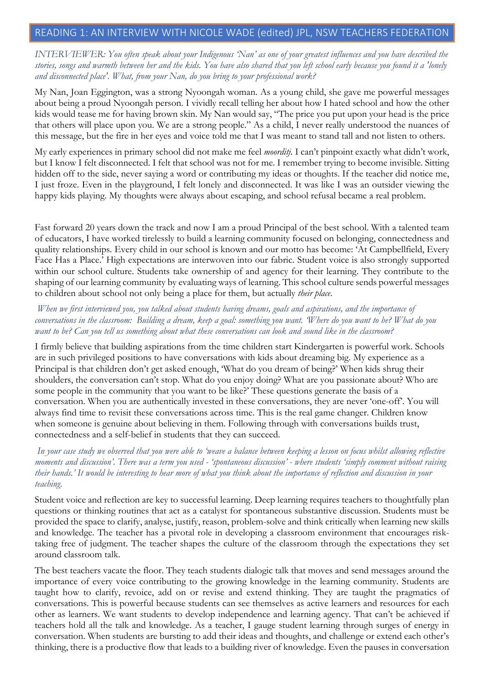## READING 1: AN INTERVIEW WITH NICOLE WADE (edited) JPL, NSW TEACHERS FEDERATION

## *INTERVIEWER: You often speak about your Indigenous 'Nan' as one of your greatest influences and you have described the stories, songs and warmth between her and the kids. You have also shared that you left school early because you found it a 'lonely and disconnected place'. What, from your Nan, do you bring to your professional work?*

My Nan, Joan Eggington, was a strong Nyoongah woman. As a young child, she gave me powerful messages about being a proud Nyoongah person. I vividly recall telling her about how I hated school and how the other kids would tease me for having brown skin. My Nan would say, "The price you put upon your head is the price that others will place upon you. We are a strong people." As a child, I never really understood the nuances of this message, but the fire in her eyes and voice told me that I was meant to stand tall and not listen to others.

My early experiences in primary school did not make me feel *moorditj*. I can't pinpoint exactly what didn't work, but I know I felt disconnected. I felt that school was not for me. I remember trying to become invisible. Sitting hidden off to the side, never saying a word or contributing my ideas or thoughts. If the teacher did notice me, I just froze. Even in the playground, I felt lonely and disconnected. It was like I was an outsider viewing the happy kids playing. My thoughts were always about escaping, and school refusal became a real problem.

Fast forward 20 years down the track and now I am a proud Principal of the best school. With a talented team of educators, I have worked tirelessly to build a learning community focused on belonging, connectedness and quality relationships. Every child in our school is known and our motto has become: 'At Campbellfield, Every Face Has a Place.' High expectations are interwoven into our fabric. Student voice is also strongly supported within our school culture. Students take ownership of and agency for their learning. They contribute to the shaping of our learning community by evaluating ways of learning. This school culture sends powerful messages to children about school not only being a place for them, but actually *their place*.

## *When we first interviewed you, you talked about students having dreams, goals and aspirations, and the importance of conversations in the classroom: Building a dream, keep a goal: something you want. 'Where do you want to be? What do you want to be? Can you tell us something about what these conversations can look and sound like in the classroom?*

I firmly believe that building aspirations from the time children start Kindergarten is powerful work. Schools are in such privileged positions to have conversations with kids about dreaming big. My experience as a Principal is that children don't get asked enough, 'What do you dream of being?' When kids shrug their shoulders, the conversation can't stop. What do you enjoy doing? What are you passionate about? Who are some people in the community that you want to be like?' These questions generate the basis of a conversation. When you are authentically invested in these conversations, they are never 'one-off'. You will always find time to revisit these conversations across time. This is the real game changer. Children know when someone is genuine about believing in them. Following through with conversations builds trust, connectedness and a self-belief in students that they can succeed.

## *In your case study we observed that you were able to 'weave a balance between keeping a lesson on focus whilst allowing reflective moments and discussion'. There was a term you used - 'spontaneous discussion' - where students 'simply comment without raising their hands.' It would be interesting to hear more of what you think about the importance of reflection and discussion in your teaching.*

Student voice and reflection are key to successful learning. Deep learning requires teachers to thoughtfully plan questions or thinking routines that act as a catalyst for spontaneous substantive discussion. Students must be provided the space to clarify, analyse, justify, reason, problem-solve and think critically when learning new skills and knowledge. The teacher has a pivotal role in developing a classroom environment that encourages risktaking free of judgment. The teacher shapes the culture of the classroom through the expectations they set around classroom talk.

The best teachers vacate the floor. They teach students dialogic talk that moves and send messages around the importance of every voice contributing to the growing knowledge in the learning community. Students are taught how to clarify, revoice, add on or revise and extend thinking. They are taught the pragmatics of conversations. This is powerful because students can see themselves as active learners and resources for each other as learners. We want students to develop independence and learning agency. That can't be achieved if teachers hold all the talk and knowledge. As a teacher, I gauge student learning through surges of energy in conversation. When students are bursting to add their ideas and thoughts, and challenge or extend each other's thinking, there is a productive flow that leads to a building river of knowledge. Even the pauses in conversation